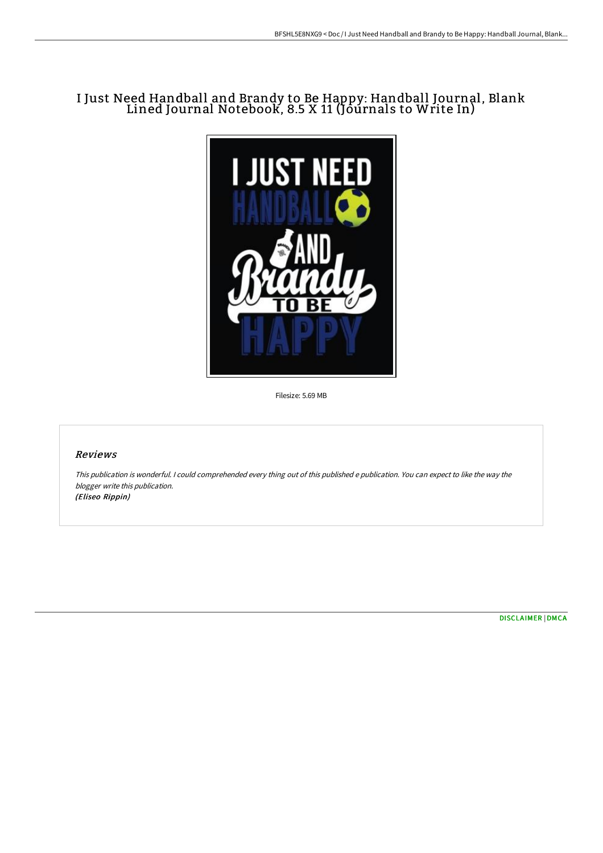## I Just Need Handball and Brandy to Be Happy: Handball Journal, Blank Lined Journal Notebook, 8.5 X 11 (Journals to Write In)



Filesize: 5.69 MB

## Reviews

This publication is wonderful. <sup>I</sup> could comprehended every thing out of this published <sup>e</sup> publication. You can expect to like the way the blogger write this publication. (Eliseo Rippin)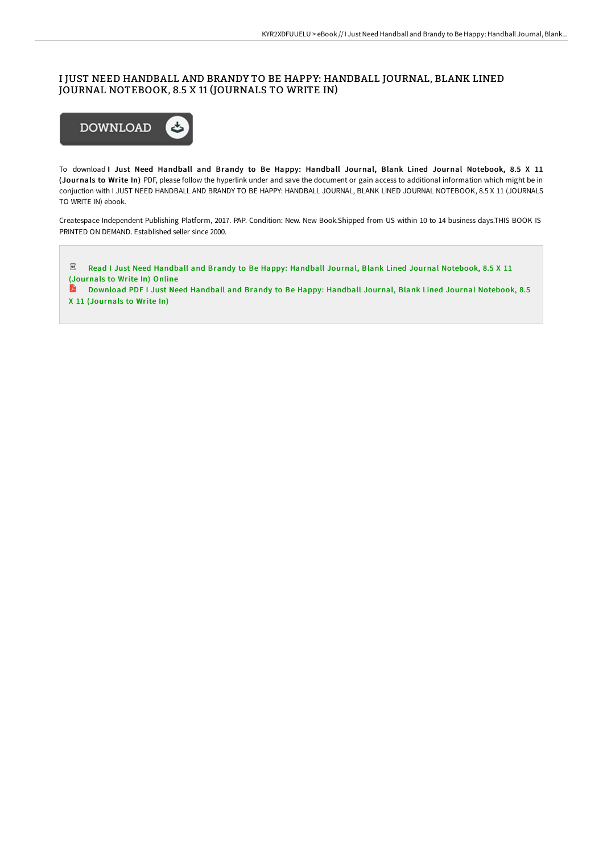## I JUST NEED HANDBALL AND BRANDY TO BE HAPPY: HANDBALL JOURNAL, BLANK LINED JOURNAL NOTEBOOK, 8.5 X 11 (JOURNALS TO WRITE IN)



To download I Just Need Handball and Brandy to Be Happy: Handball Journal, Blank Lined Journal Notebook, 8.5 X 11 (Journals to Write In) PDF, please follow the hyperlink under and save the document or gain access to additional information which might be in conjuction with I JUST NEED HANDBALL AND BRANDY TO BE HAPPY: HANDBALL JOURNAL, BLANK LINED JOURNAL NOTEBOOK, 8.5 X 11 (JOURNALS TO WRITE IN) ebook.

Createspace Independent Publishing Platform, 2017. PAP. Condition: New. New Book.Shipped from US within 10 to 14 business days.THIS BOOK IS PRINTED ON DEMAND. Established seller since 2000.